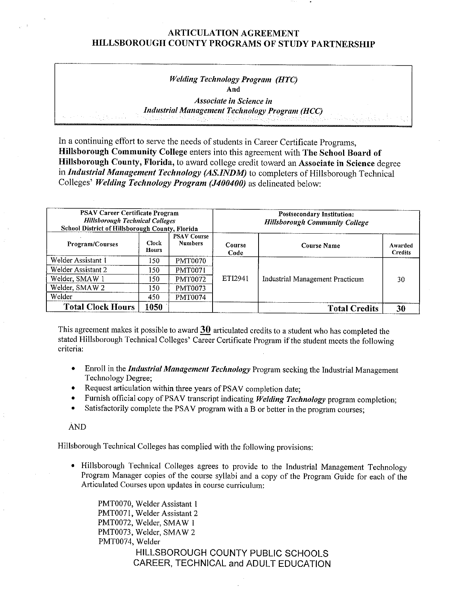### ARTICULATION AGREEMENT HILLSBOROUGH COUNTY PROGRAMS OF STUDY PARTNERSHIP

## *Welding Technology Program (HTC)*  **And**

*Associate in Science in Industrial Management Technology Program (HCC)* 

In a continuing effort to serve the needs of students in Career Certificate Programs, **Hillsborough Community College** enters into this agreement with **The School Board of Hillsborough County, Florida,** to award college credit toward an **Associate in Science** degree in *Industrial Management Technology (AS.INDM)* to completers of Hillsborough Technical Colleges' *Welding Technology Program (J400400)* as delineated below:

| <b>PSAV Career Certificate Program</b><br><b>Hillsborough Technical Colleges</b><br>School District of Hillsborough County, Florida |                       |                                      | <b>Postsecondary Institution:</b><br><b>Hillsborough Community College</b> |                                        |                           |  |
|-------------------------------------------------------------------------------------------------------------------------------------|-----------------------|--------------------------------------|----------------------------------------------------------------------------|----------------------------------------|---------------------------|--|
| Program/Courses                                                                                                                     | Clock<br><b>Hours</b> | <b>PSAV Course</b><br><b>Numbers</b> | Course<br>Code                                                             | <b>Course Name</b>                     | Awarded<br><b>Credits</b> |  |
| Welder Assistant 1                                                                                                                  | 150                   | <b>PMT0070</b>                       | ETI2941                                                                    | <b>Industrial Management Practicum</b> | 30                        |  |
| Welder Assistant 2                                                                                                                  | 150                   | PMT0071                              |                                                                            |                                        |                           |  |
| Welder, SMAW 1                                                                                                                      | 150                   | <b>PMT0072</b>                       |                                                                            |                                        |                           |  |
| Welder, SMAW 2                                                                                                                      | 150                   | <b>PMT0073</b>                       |                                                                            |                                        |                           |  |
| Welder                                                                                                                              | 450                   | <b>PMT0074</b>                       |                                                                            |                                        |                           |  |
| <b>Total Clock Hours</b>                                                                                                            | 1050                  |                                      |                                                                            | <b>Total Credits</b>                   | 30                        |  |

This agreement makes it possible to award **30** articulated credits to a student who has completed the stated Hillsborough Technical Colleges' Career Certificate Program if the student meets the following criteria:

- Enroll in the *Industrial Management Technology* Program seeking the Industrial Management Technology Degree;
- Request articulation within three years of PSAV completion date;
- Furnish official copy of PSAV transcript indicating *Welding Technology* program completion;
- Satisfactorily complete the PSAV program with a B or better in the program courses;

#### AND

Hillsborough Technical Colleges has complied with the following provisions:

• Hillsborough Technical Colleges agrees to provide to the Industrial Management Technology Program Manager copies of the course syllabi and a copy of the Program Guide for each of the Articulated Courses upon updates in course curriculum:

PMT0070, Welder Assistant l PMT0071, Welder Assistant 2 PMT0072, Welder, SMAW l PMT0073, Welder, SMAW 2 PMT0074, Welder HILLSBOROUGH COUNTY PUBLIC SCHOOLS CAREER, TECHNICAL and ADULT EDUCATION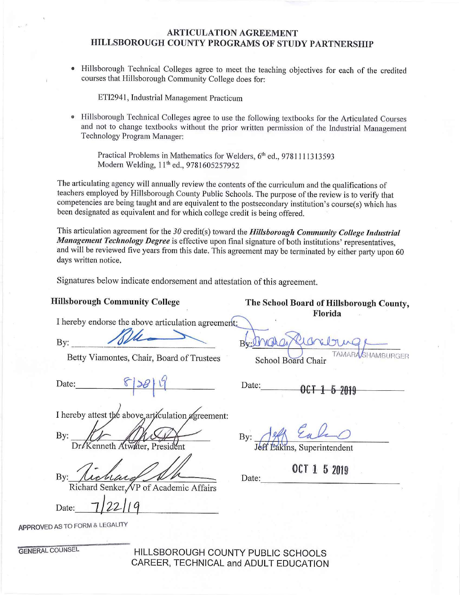#### **ARTICULATION AGREEMENT HILLSBOROUGH COUNTY PROGRAMS OF STUDY PARTNERSHIP**

• Hillsborough Technical Colleges agree to meet the teaching objectives for each of the credited courses that Hillsborough Community College does for:

ETI294 1, Industrial Management Practicum

• Hillsborough Technical Colleges agree to use the following textbooks for the Articulated Courses and not to change textbooks without the prior written permission of the Industrial Management Technology Program Manager:

Practical Problems in Mathematics for Welders, 6<sup>th</sup> ed., 9781111313593 Modern Welding, 11<sup>th</sup> ed., 9781605257952

The articulating agency will annually review the contents of the curriculum and the qualifications of teachers employed by Hillsborough County Public Schools. The purpose of the review is to verify that competencies are being taught and are equivalent to the postsecondary institution's course(s) which has been designated as equivalent and for which college credit is being offered.

This articulation agreement for the *30* credit(s) toward the *Hillsborough Community College Industrial Management Technology Degree* is effective upon final signature of both institutions' representatives, and will be reviewed five years from this date. This agreement may be terminated by either party upon 60 days written notice.

Signatures below indicate endorsement and attestation of this agreement.

I hereby endorse the above articulation agreement:

Betty Viamontes, Chair, Board of Trustees School Board Chair TAMAR.

Date:

I hereby attest the above articulation agreement:

By: Dr/Kenneth Atwater, President

By: *Juchtard* Senker, VP of Academic Affairs<br>Date: 7/22/19

APPROVED AS TO FORM & LEGALITY

GENERAL COUNSEL HILLSBOROUGH COUNTY PUBLIC SCHOOLS CAREER, TECHNICAL and ADULT EDUCATION

Date:

**Hillsborough Community College The School Board of Hillsborough County, Florida** .

By: Blee Burnson of Burnson Regression

Date: \_ \_ --t-Ott-:C+-T }-,5a--+t20w19t,t--

By: 16ff Ealing, Superintendent

0CT 1 5 2019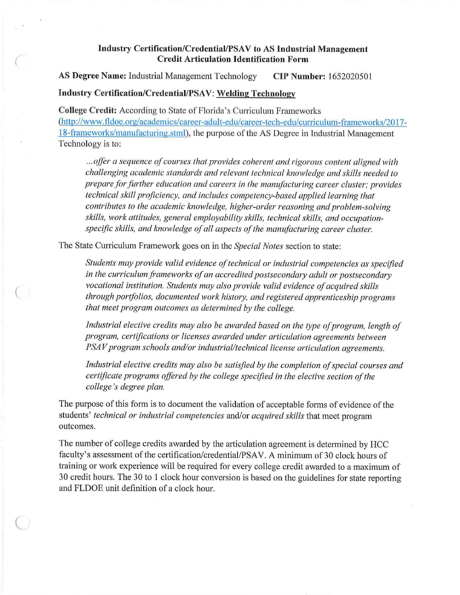#### Industry Certification/Credential/PSAV to AS Industrial Management **Credit Articulation Identification Form**

**AS Degree Name:** Industrial Management Technology **CIP Number:** 1652020501

# **Industry Certification/Credential/PSAV: Welding Technology**

(

(

 $\big($ 

**College Credit:** According to State of Florida's Curriculum Frameworks [\(http://www.fldoe.org/academics/career-adul](http://www.fldoe.org/academics/career-adul)t-edu/career-tech-edu/curriculum-frameworks/2017-18-frameworks/manufacturing.stml), the purpose of the AS Degree in Industrial Management Technology is to:

...*offer a sequence of courses that provides coherent and rigorous content aligned with challenging academic standards and relevant technical knowledge and skills needed to prepare for further education and careers in the manufacturing career cluster; provides technical skill proficiency, and includes competency-based applied learning that contributes to the academic knowledge, higher-order reasoning and problem-solving skills, work attitudes, general employability skills, technical skills, and occupationspecific skills, and knowledge of all aspects of the manufacturing career cluster.* 

The State Curriculum Framework goes on in the *Special Notes* section to state:

*Students may provide valid evidence oftechnical or industrial competencies as specified in the curriculum frameworks of an accredited postsecondary adult or postsecondary vocational institution. Students may also provide valid evidence of acquired skills through portfolios, documented work history, and registered apprenticeship programs that meet program outcomes as determined by the college.* 

Industrial elective credits may also be awarded based on the type of program, length of *program, certifications or licenses awarded under articulation agreements between PSA V program schools and/or industrial/technical license articulation agreements.* 

Industrial elective credits may also be satisfied by the completion of special courses and *certificate programs offered by the college specified in the elective section of the college's degree plan.* 

The purpose of this form is to document the validation of acceptable forms of evidence of the students' *technical or industrial competencies* and/or *acquired skills* that meet program outcomes.

The number of college credits awarded by the articulation agreement is determined by HCC faculty's assessment of the certification/credential/PSAV. A minimum of 30 clock hours of training or work experience will be required for every college credit awarded to a maximum of 30 credit hours. The 30 to 1 clock hour conversion is based on the guidelines for state reporting and FLDOE unit definition of a clock hour.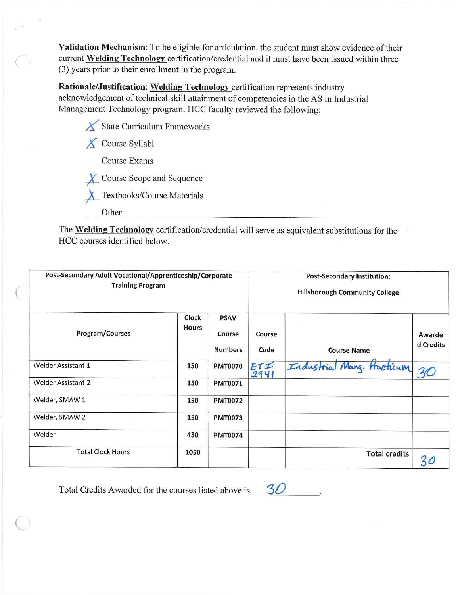**Validation Mechanism:** To be eligible for articulation, the student must show evidence of their current **Welding Technology** certification/credential and it must have been issued within three (3) years prior to their enrollment in the program.

**Rationale/Justification: Welding Technology** certification represents industry acknowledgement of technical skill attainment of competencies in the AS in Industrial Management Technology program. HCC faculty reviewed the following:

X State Curriculum Frameworks

*.){\_* Course Syllabi

*(* 

Course Exams

**-X-** Course Scope and Sequence

**.Ji--** Textbooks/Course Materials

Other

The **Welding Technology** certification/credential will serve as equivalent substitutions for the HCC courses identified below.

| Post-Secondary Adult Vocational/Apprenticeship/Corporate<br><b>Training Program</b> |                       |                                         | <b>Post-Secondary Institution:</b><br><b>Hillsborough Community College</b> |                            |                     |
|-------------------------------------------------------------------------------------|-----------------------|-----------------------------------------|-----------------------------------------------------------------------------|----------------------------|---------------------|
| Program/Courses                                                                     | Clock<br><b>Hours</b> | <b>PSAV</b><br>Course<br><b>Numbers</b> | Course<br>Code                                                              | <b>Course Name</b>         | Awarde<br>d Credits |
| <b>Welder Assistant 1</b>                                                           | 150                   | <b>PMT0070</b>                          | ETI<br>2941                                                                 | Industrial Mang. Practicum |                     |
| <b>Welder Assistant 2</b>                                                           | 150                   | <b>PMT0071</b>                          |                                                                             |                            |                     |
| Welder, SMAW 1                                                                      | 150                   | <b>PMT0072</b>                          |                                                                             |                            |                     |
| Welder, SMAW 2                                                                      | 150                   | <b>PMT0073</b>                          |                                                                             |                            |                     |
| Welder                                                                              | 450                   | <b>PMT0074</b>                          |                                                                             |                            |                     |
| <b>Total Clock Hours</b>                                                            | 1050                  |                                         |                                                                             | <b>Total credits</b>       |                     |

Total Credits Awarded for the courses listed above is *30*